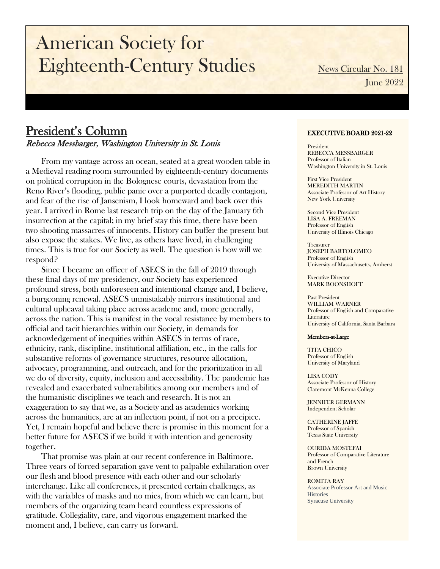# American Society for Eighteenth-Century Studies News Circular No. 181

June 2022

### President's Column Rebecca Messbarger, Washington University in St. Louis

From my vantage across an ocean, seated at a great wooden table in a Medieval reading room surrounded by eighteenth-century documents on political corruption in the Bolognese courts, devastation from the Reno River's flooding, public panic over a purported deadly contagion, and fear of the rise of Jansenism, I look homeward and back over this year. I arrived in Rome last research trip on the day of the January 6th insurrection at the capital; in my brief stay this time, there have been two shooting massacres of innocents. History can buffer the present but also expose the stakes. We live, as others have lived, in challenging times. This is true for our Society as well. The question is how will we respond?

Since I became an officer of ASECS in the fall of 2019 through these final days of my presidency, our Society has experienced profound stress, both unforeseen and intentional change and, I believe, a burgeoning renewal. ASECS unmistakably mirrors institutional and cultural upheaval taking place across academe and, more generally, across the nation. This is manifest in the vocal resistance by members to official and tacit hierarchies within our Society, in demands for acknowledgement of inequities within ASECS in terms of race, ethnicity, rank, discipline, institutional affiliation, etc., in the calls for substantive reforms of governance structures, resource allocation, advocacy, programming, and outreach, and for the prioritization in all we do of diversity, equity, inclusion and accessibility. The pandemic has revealed and exacerbated vulnerabilities among our members and of the humanistic disciplines we teach and research. It is not an exaggeration to say that we, as a Society and as academics working across the humanities, are at an inflection point, if not on a precipice. Yet, I remain hopeful and believe there is promise in this moment for a better future for ASECS if we build it with intention and generosity together.

That promise was plain at our recent conference in Baltimore. Three years of forced separation gave vent to palpable exhilaration over our flesh and blood presence with each other and our scholarly interchange. Like all conferences, it presented certain challenges, as with the variables of masks and no mics, from which we can learn, but members of the organizing team heard countless expressions of gratitude. Collegiality, care, and vigorous engagement marked the moment and, I believe, can carry us forward.

#### EXECUTIVE BOARD 2021-22

President REBECCA MESSBARGER Professor of Italian Washington University in St. Louis

First Vice President MEREDITH MARTIN Associate Professor of Art History New York University

Second Vice President LISA A. FREEMAN Professor of English University of Illinois Chicago

Treasurer JOSEPH BARTOLOMEO Professor of English University of Massachusetts, Amherst

Executive Director MARK BOONSHOFT

Past President WILLIAM WARNER Professor of English and Comparative Literature University of California, Santa Barbara

#### Members-at-Large

TITA CHICO Professor of English University of Maryland

LISA CODY Associate Professor of History Claremont McKenna College

JENNIFER GERMANN Independent Scholar

CATHERINE JAFFE Professor of Spanish Texas State University

OURIDA MOSTEFAI Professor of Comparative Literature and French Brown University

ROMITA RAY Associate Professor Art and Music **Histories** Syracuse University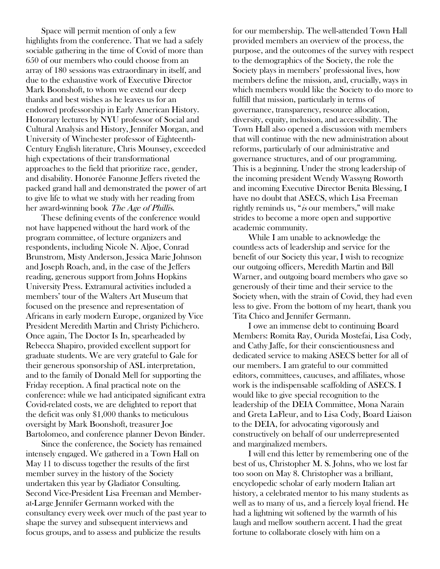Space will permit mention of only a few highlights from the conference. That we had a safely sociable gathering in the time of Covid of more than 650 of our members who could choose from an array of 180 sessions was extraordinary in itself, and due to the exhaustive work of Executive Director Mark Boonshoft, to whom we extend our deep thanks and best wishes as he leaves us for an endowed professorship in Early American History. Honorary lectures by NYU professor of Social and Cultural Analysis and History, Jennifer Morgan, and University of Winchester professor of Eighteenth-Century English literature, Chris Mounsey, exceeded high expectations of their transformational approaches to the field that prioritize race, gender, and disability. Honorée Fanonne Jeffers riveted the packed grand hall and demonstrated the power of art to give life to what we study with her reading from her award-winning book *The Age of Phillis*.

These defining events of the conference would not have happened without the hard work of the program committee, of lecture organizers and respondents, including Nicole N. Aljoe, Conrad Brunstrom, Misty Anderson, Jessica Marie Johnson and Joseph Roach, and, in the case of the Jeffers reading, generous support from Johns Hopkins University Press. Extramural activities included a members' tour of the Walters Art Museum that focused on the presence and representation of Africans in early modern Europe, organized by Vice President Meredith Martin and Christy Pichichero. Once again, The Doctor Is In, spearheaded by Rebecca Shapiro, provided excellent support for graduate students. We are very grateful to Gale for their generous sponsorship of ASL interpretation, and to the family of Donald Mell for supporting the Friday reception. A final practical note on the conference: while we had anticipated significant extra Covid-related costs, we are delighted to report that the deficit was only \$1,000 thanks to meticulous oversight by Mark Boonshoft, treasurer Joe Bartolomeo, and conference planner Devon Binder.

Since the conference, the Society has remained intensely engaged. We gathered in a Town Hall on May 11 to discuss together the results of the first member survey in the history of the Society undertaken this year by Gladiator Consulting. Second Vice-President Lisa Freeman and Memberat-Large Jennifer Germann worked with the consultancy every week over much of the past year to shape the survey and subsequent interviews and focus groups, and to assess and publicize the results

for our membership. The well-attended Town Hall provided members an overview of the process, the purpose, and the outcomes of the survey with respect to the demographics of the Society, the role the Society plays in members' professional lives, how members define the mission, and, crucially, ways in which members would like the Society to do more to fulfill that mission, particularly in terms of governance, transparency, resource allocation, diversity, equity, inclusion, and accessibility. The Town Hall also opened a discussion with members that will continue with the new administration about reforms, particularly of our administrative and governance structures, and of our programming. This is a beginning. Under the strong leadership of the incoming president Wendy Wassyng Roworth and incoming Executive Director Benita Blessing, I have no doubt that ASECS, which Lisa Freeman rightly reminds us, "is our members," will make strides to become a more open and supportive academic community.

While I am unable to acknowledge the countless acts of leadership and service for the benefit of our Society this year, I wish to recognize our outgoing officers, Meredith Martin and Bill Warner, and outgoing board members who gave so generously of their time and their service to the Society when, with the strain of Covid, they had even less to give. From the bottom of my heart, thank you Tita Chico and Jennifer Germann.

I owe an immense debt to continuing Board Members: Romita Ray, Ourida Mostefai, Lisa Cody, and Cathy Jaffe, for their conscientiousness and dedicated service to making ASECS better for all of our members. I am grateful to our committed editors, committees, caucuses, and affiliates, whose work is the indispensable scaffolding of ASECS. I would like to give special recognition to the leadership of the DEIA Committee, Mona Narain and Greta LaFleur, and to Lisa Cody, Board Liaison to the DEIA, for advocating vigorously and constructively on behalf of our underrepresented and marginalized members.

I will end this letter by remembering one of the best of us, Christopher M. S. Johns, who we lost far too soon on May 8. Christopher was a brilliant, encyclopedic scholar of early modern Italian art history, a celebrated mentor to his many students as well as to many of us, and a fiercely loyal friend. He had a lightning wit softened by the warmth of his laugh and mellow southern accent. I had the great fortune to collaborate closely with him on a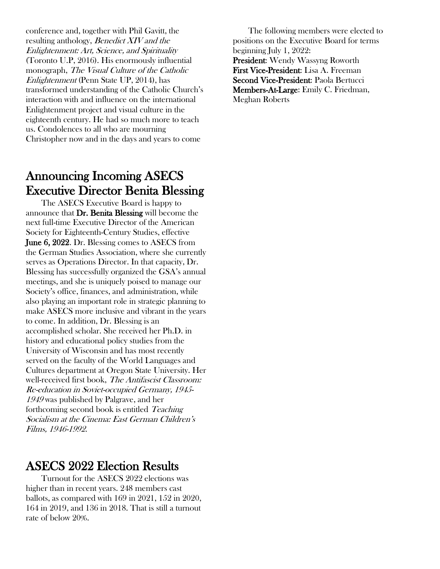conference and, together with Phil Gavitt, the resulting anthology, Benedict XIV and the Enlightenment: Art, Science, and Spirituality (Toronto U.P, 2016). His enormously influential monograph, The Visual Culture of the Catholic Enlightenment (Penn State UP, 2014), has transformed understanding of the Catholic Church's interaction with and influence on the international Enlightenment project and visual culture in the eighteenth century. He had so much more to teach us. Condolences to all who are mourning Christopher now and in the days and years to come

### Announcing Incoming ASECS Executive Director Benita Blessing

The ASECS Executive Board is happy to announce that Dr. Benita Blessing will become the next full-time Executive Director of the American Society for Eighteenth-Century Studies, effective June 6, 2022. Dr. Blessing comes to ASECS from the German Studies Association, where she currently serves as Operations Director. In that capacity, Dr. Blessing has successfully organized the GSA's annual meetings, and she is uniquely poised to manage our Society's office, finances, and administration, while also playing an important role in strategic planning to make ASECS more inclusive and vibrant in the years to come. In addition, Dr. Blessing is an accomplished scholar. She received her Ph.D. in history and educational policy studies from the University of Wisconsin and has most recently served on the faculty of the World Languages and Cultures department at Oregon State University. Her well-received first book, The Antifascist Classroom: Re-education in Soviet-occupied Germany, 1945- <sup>1949</sup> was published by Palgrave, and her forthcoming second book is entitled Teaching Socialism at the Cinema: East German Children's Films, 1946-1992.

### ASECS 2022 Election Results

Turnout for the ASECS 2022 elections was higher than in recent years. 248 members cast ballots, as compared with 169 in 2021, 152 in 2020, 164 in 2019, and 136 in 2018. That is still a turnout rate of below 20%.

The following members were elected to positions on the Executive Board for terms beginning July 1, 2022: President: Wendy Wassyng Roworth First Vice-President: Lisa A. Freeman Second Vice-President: Paola Bertucci Members-At-Large: Emily C. Friedman, Meghan Roberts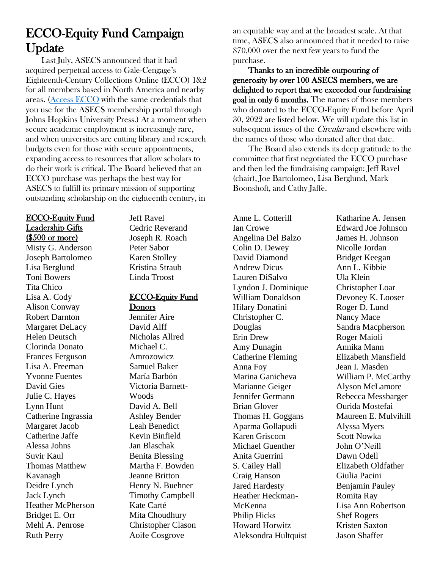## ECCO-Equity Fund Campaign Update

Last July, ASECS announced that it had acquired perpetual access to Gale-Cengage's Eighteenth-Century Collections Online (ECCO) 1&2 for all members based in North America and nearby areas. [\(Access ECCO](http://asecs.press.jhu.edu/membership/log-in-to-gale) with the same credentials that you use for the ASECS membership portal through Johns Hopkins University Press.) At a moment when secure academic employment is increasingly rare, and when universities are cutting library and research budgets even for those with secure appointments, expanding access to resources that allow scholars to do their work is critical. The Board believed that an ECCO purchase was perhaps the best way for ASECS to fulfill its primary mission of supporting outstanding scholarship on the eighteenth century, in

#### ECCO-Equity Fund Leadership Gifts (\$500 or more)

Misty G. Anderson Joseph Bartolomeo Lisa Berglund Toni Bowers Tita Chico Lisa A. Cody Alison Conway Robert Darnton Margaret DeLacy Helen Deutsch Clorinda Donato Frances Ferguson Lisa A. Freeman Yvonne Fuentes David Gies Julie C. Hayes Lynn Hunt Catherine Ingrassia Margaret Jacob Catherine Jaffe Alessa Johns Suvir Kaul Thomas Matthew Kavanagh Deidre Lynch Jack Lynch Heather McPherson Bridget E. Orr Mehl A. Penrose Ruth Perry

Jeff Ravel Cedric Reverand Joseph R. Roach Peter Sabor Karen Stolley Kristina Straub Linda Troost

#### ECCO-Equity Fund Donors

Jennifer Aire David Alff Nicholas Allred Michael C. Amrozowicz Samuel Baker María Barbón Victoria Barnett-Woods David A. Bell Ashley Bender Leah Benedict Kevin Binfield Jan Blaschak Benita Blessing Martha F. Bowden Jeanne Britton Henry N. Buehner Timothy Campbell Kate Carté Mita Choudhury Christopher Clason Aoife Cosgrove

an equitable way and at the broadest scale. At that time, ASECS also announced that it needed to raise \$70,000 over the next few years to fund the purchase.

Thanks to an incredible outpouring of generosity by over 100 ASECS members, we are delighted to report that we exceeded our fundraising goal in only 6 months. The names of those members who donated to the ECCO-Equity Fund before April 30, 2022 are listed below. We will update this list in subsequent issues of the *Circular* and elsewhere with the names of those who donated after that date.

The Board also extends its deep gratitude to the committee that first negotiated the ECCO purchase and then led the fundraising campaign: Jeff Ravel (chair), Joe Bartolomeo, Lisa Berglund, Mark Boonshoft, and Cathy Jaffe.

Anne L. Cotterill Ian Crowe Angelina Del Balzo Colin D. Dewey David Diamond Andrew Dicus Lauren DiSalvo Lyndon J. Dominique William Donaldson Hilary Donatini Christopher C. Douglas Erin Drew Amy Dunagin Catherine Fleming Anna Foy Marina Ganicheva Marianne Geiger Jennifer Germann Brian Glover Thomas H. Goggans Aparma Gollapudi Karen Griscom Michael Guenther Anita Guerrini S. Cailey Hall Craig Hanson Jared Hardesty Heather Heckman-McKenna Philip Hicks Howard Horwitz Aleksondra Hultquist

Katharine A. Jensen Edward Joe Johnson James H. Johnson Nicolle Jordan Bridget Keegan Ann L. Kibbie Ula Klein Christopher Loar Devoney K. Looser Roger D. Lund Nancy Mace Sandra Macpherson Roger Maioli Annika Mann Elizabeth Mansfield Jean I. Masden William P. McCarthy Alyson McLamore Rebecca Messbarger Ourida Mostefai Maureen E. Mulvihill Alyssa Myers Scott Nowka John O'Neill Dawn Odell Elizabeth Oldfather Giulia Pacini Benjamin Pauley Romita Ray Lisa Ann Robertson Shef Rogers Kristen Saxton Jason Shaffer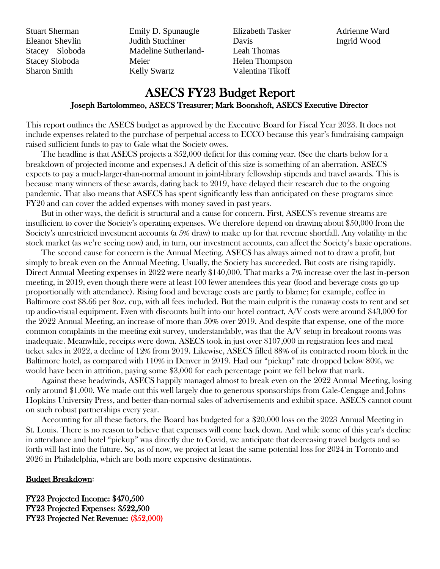Stuart Sherman Eleanor Shevlin Stacey Sloboda Stacey Sloboda Sharon Smith

Emily D. Spunaugle Judith Stuchiner Madeline Sutherland-Meier Kelly Swartz

Elizabeth Tasker Davis Leah Thomas Helen Thompson Valentina Tikoff

Adrienne Ward Ingrid Wood

### ASECS FY23 Budget Report Joseph Bartolommeo, ASECS Treasurer; Mark Boonshoft, ASECS Executive Director

This report outlines the ASECS budget as approved by the Executive Board for Fiscal Year 2023. It does not include expenses related to the purchase of perpetual access to ECCO because this year's fundraising campaign raised sufficient funds to pay to Gale what the Society owes.

The headline is that ASECS projects a \$52,000 deficit for this coming year. (See the charts below for a breakdown of projected income and expenses.) A deficit of this size is something of an aberration. ASECS expects to pay a much-larger-than-normal amount in joint-library fellowship stipends and travel awards. This is because many winners of these awards, dating back to 2019, have delayed their research due to the ongoing pandemic. That also means that ASECS has spent significantly less than anticipated on these programs since FY20 and can cover the added expenses with money saved in past years.

But in other ways, the deficit is structural and a cause for concern. First, ASECS's revenue streams are insufficient to cover the Society's operating expenses. We therefore depend on drawing about \$50,000 from the Society's unrestricted investment accounts (a 5% draw) to make up for that revenue shortfall. Any volatility in the stock market (as we're seeing now) and, in turn, our investment accounts, can affect the Society's basic operations.

The second cause for concern is the Annual Meeting. ASECS has always aimed not to draw a profit, but simply to break even on the Annual Meeting. Usually, the Society has succeeded. But costs are rising rapidly. Direct Annual Meeting expenses in 2022 were nearly \$140,000. That marks a 7% increase over the last in-person meeting, in 2019, even though there were at least 100 fewer attendees this year (food and beverage costs go up proportionally with attendance). Rising food and beverage costs are partly to blame; for example, coffee in Baltimore cost \$8.66 per 8oz. cup, with all fees included. But the main culprit is the runaway costs to rent and set up audio-visual equipment. Even with discounts built into our hotel contract, A/V costs were around \$43,000 for the 2022 Annual Meeting, an increase of more than 50% over 2019. And despite that expense, one of the more common complaints in the meeting exit survey, understandably, was that the A/V setup in breakout rooms was inadequate. Meanwhile, receipts were down. ASECS took in just over \$107,000 in registration fees and meal ticket sales in 2022, a decline of 12% from 2019. Likewise, ASECS filled 88% of its contracted room block in the Baltimore hotel, as compared with 110% in Denver in 2019. Had our "pickup" rate dropped below 80%, we would have been in attrition, paying some \$3,000 for each percentage point we fell below that mark.

Against these headwinds, ASECS happily managed almost to break even on the 2022 Annual Meeting, losing only around \$1,000. We made out this well largely due to generous sponsorships from Gale-Cengage and Johns Hopkins University Press, and better-than-normal sales of advertisements and exhibit space. ASECS cannot count on such robust partnerships every year.

Accounting for all these factors, the Board has budgeted for a \$20,000 loss on the 2023 Annual Meeting in St. Louis. There is no reason to believe that expenses will come back down. And while some of this year's decline in attendance and hotel "pickup" was directly due to Covid, we anticipate that decreasing travel budgets and so forth will last into the future. So, as of now, we project at least the same potential loss for 2024 in Toronto and 2026 in Philadelphia, which are both more expensive destinations.

#### Budget Breakdown:

FY23 Projected Income: \$470,500 FY23 Projected Expenses: \$522,500 FY23 Projected Net Revenue: (\$52,000)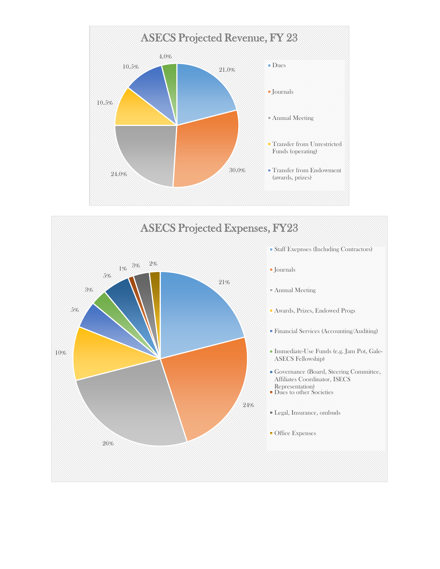

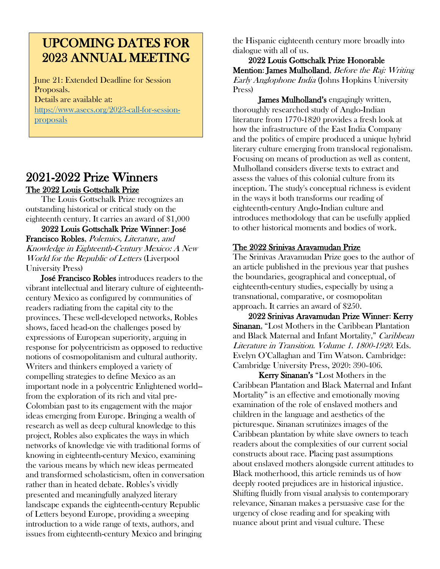### UPCOMING DATES FOR 2023 ANNUAL MEETING

June 21: Extended Deadline for Session Proposals. Details are available at: [https://www.asecs.org/2023-call-for-session](https://www.asecs.org/2023-call-for-session-proposals)[proposals](https://www.asecs.org/2023-call-for-session-proposals)

#### 2021-2022 Prize Winners The 2022 Louis Gottschalk Prize

The Louis Gottschalk Prize recognizes an outstanding historical or critical study on the eighteenth century. It carries an award of \$1,000

2022 Louis Gottschalk Prize Winner: José Francisco Robles, Polemics, Literature, and Knowledge in Eighteenth-Century Mexico: A New World for the Republic of Letters (Liverpool University Press)

José Francisco Robles introduces readers to the vibrant intellectual and literary culture of eighteenthcentury Mexico as configured by communities of readers radiating from the capital city to the provinces. These well-developed networks, Robles shows, faced head-on the challenges posed by expressions of European superiority, arguing in response for polycentricism as opposed to reductive notions of cosmopolitanism and cultural authority. Writers and thinkers employed a variety of compelling strategies to define Mexico as an important node in a polycentric Enlightened world- from the exploration of its rich and vital pre-Colombian past to its engagement with the major ideas emerging from Europe. Bringing a wealth of research as well as deep cultural knowledge to this project, Robles also explicates the ways in which networks of knowledge vie with traditional forms of knowing in eighteenth-century Mexico, examining the various means by which new ideas permeated and transformed scholasticism, often in conversation rather than in heated debate. Robles's vividly presented and meaningfully analyzed literary landscape expands the eighteenth-century Republic of Letters beyond Europe, providing a sweeping introduction to a wide range of texts, authors, and issues from eighteenth-century Mexico and bringing

the Hispanic eighteenth century more broadly into dialogue with all of us.

2022 Louis Gottschalk Prize Honorable Mention: James Mulholland, *Before the Raj: Writing* Early Anglophone India (Johns Hopkins University Press)

James Mulholland's engagingly written, thoroughly researched study of Anglo-Indian literature from 1770-1820 provides a fresh look at how the infrastructure of the East India Company and the politics of empire produced a unique hybrid literary culture emerging from translocal regionalism. Focusing on means of production as well as content, Mulholland considers diverse texts to extract and assess the values of this colonial culture from its inception. The study's conceptual richness is evident in the ways it both transforms our reading of eighteenth-century Anglo-Indian culture and introduces methodology that can be usefully applied to other historical moments and bodies of work.

#### The 2022 Srinivas Aravamudan Prize

The Srinivas Aravamudan Prize goes to the author of an article published in the previous year that pushes the boundaries, geographical and conceptual, of eighteenth-century studies, especially by using a transnational, comparative, or cosmopolitan approach. It carries an award of \$250.

2022 Srinivas Aravamudan Prize Winner: Kerry Sinanan, "Lost Mothers in the Caribbean Plantation and Black Maternal and Infant Mortality," Caribbean Literature in Transition. Volume 1. 1800-1920. Eds. Evelyn O'Callaghan and Tim Watson. Cambridge: Cambridge University Press, 2020: 390-406.

Kerry Sinanan's "Lost Mothers in the Caribbean Plantation and Black Maternal and Infant Mortality" is an effective and emotionally moving examination of the role of enslaved mothers and children in the language and aesthetics of the picturesque. Sinanan scrutinizes images of the Caribbean plantation by white slave owners to teach readers about the complexities of our current social constructs about race. Placing past assumptions about enslaved mothers alongside current attitudes to Black motherhood, this article reminds us of how deeply rooted prejudices are in historical injustice. Shifting fluidly from visual analysis to contemporary relevance, Sinanan makes a persuasive case for the urgency of close reading and for speaking with nuance about print and visual culture. These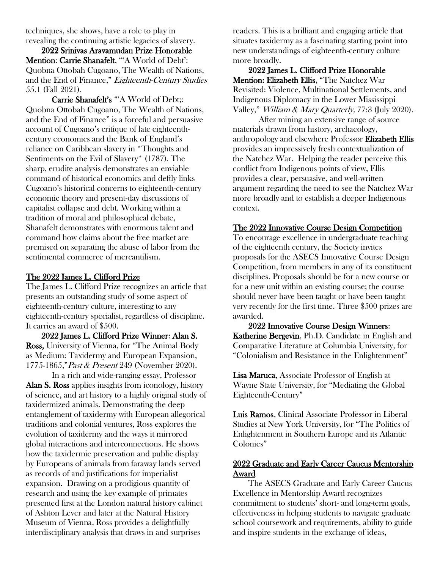techniques, she shows, have a role to play in revealing the continuing artistic legacies of slavery.

2022 Srinivas Aravamudan Prize Honorable Mention: Carrie Shanafelt, "'A World of Debt': Quobna Ottobah Cugoano, The Wealth of Nations, and the End of Finance," Eighteenth-Century Studies 55.1 (Fall 2021).

Carrie Shanafelt's "'A World of Debt;: Quobna Ottobah Cugoano, The Wealth of Nations, and the End of Finance" is a forceful and persuasive account of Cugoano's critique of late eighteenthcentury economics and the Bank of England's reliance on Caribbean slavery in \*Thoughts and Sentiments on the Evil of Slavery\* (1787). The sharp, erudite analysis demonstrates an enviable command of historical economics and deftly links Cugoano's historical concerns to eighteenth-century economic theory and present-day discussions of capitalist collapse and debt. Working within a tradition of moral and philosophical debate, Shanafelt demonstrates with enormous talent and command how claims about the free market are premised on separating the abuse of labor from the sentimental commerce of mercantilism.

#### The 2022 James L. Clifford Prize

The James L. Clifford Prize recognizes an article that presents an outstanding study of some aspect of eighteenth-century culture, interesting to any eighteenth-century specialist, regardless of discipline. It carries an award of \$500.

2022 James L. Clifford Prize Winner: Alan S. Ross, University of Vienna, for "The Animal Body as Medium: Taxidermy and European Expansion, 1775-1865," Past & Present 249 (November 2020).

In a rich and wide-ranging essay, Professor Alan S. Ross applies insights from iconology, history of science, and art history to a highly original study of taxidermized animals. Demonstrating the deep entanglement of taxidermy with European allegorical traditions and colonial ventures, Ross explores the evolution of taxidermy and the ways it mirrored global interactions and interconnections. He shows how the taxidermic preservation and public display by Europeans of animals from faraway lands served as records of and justifications for imperialist expansion. Drawing on a prodigious quantity of research and using the key example of primates presented first at the London natural history cabinet of Ashton Lever and later at the Natural History Museum of Vienna, Ross provides a delightfully interdisciplinary analysis that draws in and surprises

readers. This is a brilliant and engaging article that situates taxidermy as a fascinating starting point into new understandings of eighteenth-century culture more broadly.

2022 James L. Clifford Prize Honorable Mention: Elizabeth Ellis, "The Natchez War Revisited: Violence, Multinational Settlements, and Indigenous Diplomacy in the Lower Mississippi Valley," *William & Mary Quarterly*, 77:3 (July 2020).

After mining an extensive range of source materials drawn from history, archaeology, anthropology and elsewhere Professor Elizabeth Ellis provides an impressively fresh contextualization of the Natchez War. Helping the reader perceive this conflict from Indigenous points of view, Ellis provides a clear, persuasive, and well-written argument regarding the need to see the Natchez War more broadly and to establish a deeper Indigenous context.

#### The 2022 Innovative Course Design Competition

To encourage excellence in undergraduate teaching of the eighteenth century, the Society invites proposals for the ASECS Innovative Course Design Competition, from members in any of its constituent disciplines. Proposals should be for a new course or for a new unit within an existing course; the course should never have been taught or have been taught very recently for the first time. Three \$500 prizes are awarded.

2022 Innovative Course Design Winners: Katherine Bergevin, Ph.D. Candidate in English and Comparative Literature at Columbia University, for "Colonialism and Resistance in the Enlightenment"

Lisa Maruca, Associate Professor of English at Wayne State University, for "Mediating the Global Eighteenth-Century"

Luis Ramos, Clinical Associate Professor in Liberal Studies at New York University, for "The Politics of Enlightenment in Southern Europe and its Atlantic Colonies"

#### 2022 Graduate and Early Career Caucus Mentorship Award

The ASECS Graduate and Early Career Caucus Excellence in Mentorship Award recognizes commitment to students' short- and long-term goals, effectiveness in helping students to navigate graduate school coursework and requirements, ability to guide and inspire students in the exchange of ideas,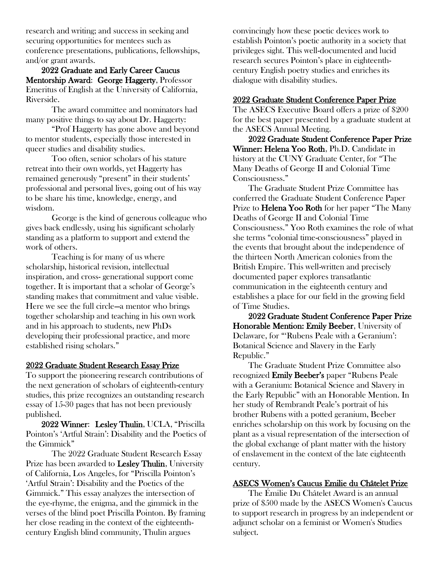research and writing; and success in seeking and securing opportunities for mentees such as conference presentations, publications, fellowships, and/or grant awards.

2022 Graduate and Early Career Caucus Mentorship Award: George Haggerty, Professor Emeritus of English at the University of California, Riverside.

The award committee and nominators had many positive things to say about Dr. Haggerty:

"Prof Haggerty has gone above and beyond to mentor students, especially those interested in queer studies and disability studies.

Too often, senior scholars of his stature retreat into their own worlds, yet Haggerty has remained generously "present" in their students' professional and personal lives, going out of his way to be share his time, knowledge, energy, and wisdom.

George is the kind of generous colleague who gives back endlessly, using his significant scholarly standing as a platform to support and extend the work of others.

Teaching is for many of us where scholarship, historical revision, intellectual inspiration, and cross- generational support come together. It is important that a scholar of George's standing makes that commitment and value visible. Here we see the full circle—a mentor who brings together scholarship and teaching in his own work and in his approach to students, new PhDs developing their professional practice, and more established rising scholars."

#### 2022 Graduate Student Research Essay Prize

To support the pioneering research contributions of the next generation of scholars of eighteenth-century studies, this prize recognizes an outstanding research essay of 15-30 pages that has not been previously published.

2022 Winner: Lesley Thulin, UCLA, "Priscilla Pointon's 'Artful Strain': Disability and the Poetics of the Gimmick"

The 2022 Graduate Student Research Essay Prize has been awarded to Lesley Thulin, University of California, Los Angeles, for "Priscilla Pointon's 'Artful Strain': Disability and the Poetics of the Gimmick." This essay analyzes the intersection of the eye-rhyme, the enigma, and the gimmick in the verses of the blind poet Priscilla Pointon. By framing her close reading in the context of the eighteenthcentury English blind community, Thulin argues

convincingly how these poetic devices work to establish Pointon's poetic authority in a society that privileges sight. This well-documented and lucid research secures Pointon's place in eighteenthcentury English poetry studies and enriches its dialogue with disability studies.

#### 2022 Graduate Student Conference Paper Prize

The ASECS Executive Board offers a prize of \$200 for the best paper presented by a graduate student at the ASECS Annual Meeting.

2022 Graduate Student Conference Paper Prize Winner: Helena Yoo Roth, Ph.D. Candidate in history at the CUNY Graduate Center, for "The Many Deaths of George II and Colonial Time Consciousness."

The Graduate Student Prize Committee has conferred the Graduate Student Conference Paper Prize to **Helena Yoo Roth** for her paper "The Many" Deaths of George II and Colonial Time Consciousness." Yoo Roth examines the role of what she terms "colonial time-consciousness" played in the events that brought about the independence of the thirteen North American colonies from the British Empire. This well-written and precisely documented paper explores transatlantic communication in the eighteenth century and establishes a place for our field in the growing field of Time Studies.

2022 Graduate Student Conference Paper Prize Honorable Mention: Emily Beeber, University of Delaware, for "'Rubens Peale with a Geranium': Botanical Science and Slavery in the Early Republic."

The Graduate Student Prize Committee also recognized Emily Beeber's paper "Rubens Peale with a Geranium: Botanical Science and Slavery in the Early Republic" with an Honorable Mention. In her study of Rembrandt Peale's portrait of his brother Rubens with a potted geranium, Beeber enriches scholarship on this work by focusing on the plant as a visual representation of the intersection of the global exchange of plant matter with the history of enslavement in the context of the late eighteenth century.

#### ASECS Women's Caucus Emilie du Châtelet Prize

The Émilie Du Châtelet Award is an annual prize of \$500 made by the ASECS Women's Caucus to support research in progress by an independent or adjunct scholar on a feminist or Women's Studies subject.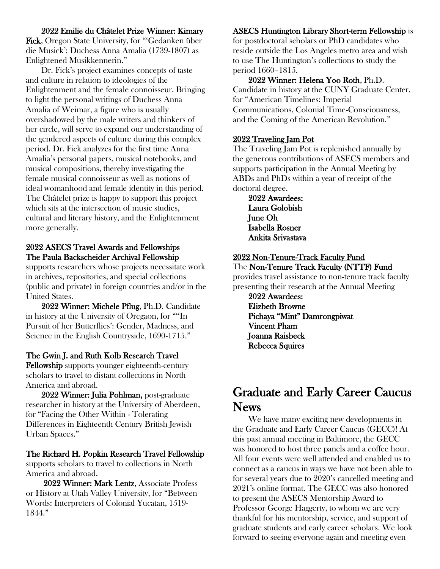#### 2022 Emilie du Châtelet Prize Winner: Kimary

Fick, Oregon State University, for "'Gedanken über die Musick': Duchess Anna Amalia (1739-1807) as Enlightened Musikkennerin."

Dr. Fick's project examines concepts of taste and culture in relation to ideologies of the Enlightenment and the female connoisseur. Bringing to light the personal writings of Duchess Anna Amalia of Weimar, a figure who is usually overshadowed by the male writers and thinkers of her circle, will serve to expand our understanding of the gendered aspects of culture during this complex period. Dr. Fick analyzes for the first time Anna Amalia's personal papers, musical notebooks, and musical compositions, thereby investigating the female musical connoisseur as well as notions of ideal womanhood and female identity in this period. The Châtelet prize is happy to support this project which sits at the intersection of music studies, cultural and literary history, and the Enlightenment more generally.

#### 2022 ASECS Travel Awards and Fellowships The Paula Backscheider Archival Fellowship

supports researchers whose projects necessitate work in archives, repositories, and special collections (public and private) in foreign countries and/or in the United States.

2022 Winner: Michele Pflug, Ph.D. Candidate in history at the University of Oregaon, for "''In Pursuit of her Butterflies': Gender, Madness, and Science in the English Countryside, 1690-1715."

#### The Gwin J. and Ruth Kolb Research Travel

Fellowship supports younger eighteenth-century scholars to travel to distant collections in North America and abroad.

2022 Winner: Julia Pohlman, post-graduate researcher in history at the University of Aberdeen, for "Facing the Other Within - Tolerating Differences in Eighteenth Century British Jewish Urban Spaces."

#### The Richard H. Popkin Research Travel Fellowship

supports scholars to travel to collections in North America and abroad.

2022 Winner: Mark Lentz, Associate Profess or History at Utah Valley University, for "Between Words: Interpreters of Colonial Yucatan, 1519- 1844."

#### ASECS Huntington Library Short-term Fellowship is

for postdoctoral scholars or PhD candidates who reside outside the Los Angeles metro area and wish to use The Huntington's collections to study the period 1660–1815.

2022 Winner: Helena Yoo Roth, Ph.D. Candidate in history at the CUNY Graduate Center, for "American Timelines: Imperial Communications, Colonial Time-Consciousness, and the Coming of the American Revolution."

#### 2022 Traveling Jam Pot

The Traveling Jam Pot is replenished annually by the generous contributions of ASECS members and supports participation in the Annual Meeting by ABDs and PhDs within a year of receipt of the doctoral degree.

2022 Awardees: Laura Golobish June Oh Isabella Rosner Ankita Srivastava

#### 2022 Non-Tenure-Track Faculty Fund

The Non-Tenure Track Faculty (NTTF) Fund provides travel assistance to non-tenure track faculty presenting their research at the Annual Meeting

2022 Awardees: Elizbeth Browne Pichaya "Mint" Damrongpiwat Vincent Pham Joanna Raisbeck Rebecca Squires

### Graduate and Early Career Caucus News

We have many exciting new developments in the Graduate and Early Career Caucus (GECC)! At this past annual meeting in Baltimore, the GECC was honored to host three panels and a coffee hour. All four events were well attended and enabled us to connect as a caucus in ways we have not been able to for several years due to 2020's cancelled meeting and 2021's online format. The GECC was also honored to present the ASECS Mentorship Award to Professor George Haggerty, to whom we are very thankful for his mentorship, service, and support of graduate students and early career scholars. We look forward to seeing everyone again and meeting even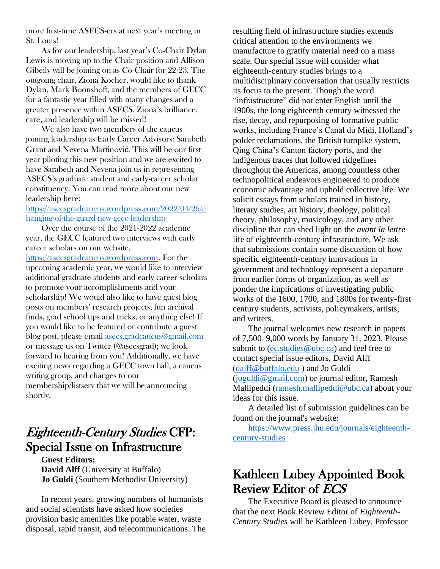more first-time ASECS-ers at next year's meeting in St. Louis!

As for our leadership, last year's Co-Chair Dylan Lewis is moving up to the Chair position and Allison Gibeily will be joining on as Co-Chair for 22-23. The outgoing chair, Ziona Kocher, would like to thank Dylan, Mark Boonshoft, and the members of GECC for a fantastic year filled with many changes and a greater presence within ASECS. Ziona's brilliance, care, and leadership will be missed!

We also have two members of the caucus joining leadership as Early Career Advisors: Sarabeth Grant and Nevena Martinović. This will be our first year piloting this new position and we are excited to have Sarabeth and Nevena join us in representing ASECS's graduate student and early-career scholar constituency. You can read more about our new leadership here:

#### [https://asecsgradcaucus.wordpress.com/2022/04/26/c](https://asecsgradcaucus.wordpress.com/2022/04/26/changing-of-the-guard-new-gecc-leadership) [hanging-of-the-guard-new-gecc-leadership](https://asecsgradcaucus.wordpress.com/2022/04/26/changing-of-the-guard-new-gecc-leadership)

Over the course of the 2021-2022 academic year, the GECC featured two interviews with early career scholars on our website, [https://asecsgradcaucus.wordpress.com.](https://asecsgradcaucus.wordpress.com/) For the

upcoming academic year, we would like to interview additional graduate students and early career scholars to promote your accomplishments and your scholarship! We would also like to have guest blog posts on members' research projects, fun archival finds, grad school tips and tricks, or anything else! If you would like to be featured or contribute a guest blog post, please email [asecs.gradcaucus@gmail.com](mailto:asecs.gradcaucus@gmail.com) or message us on Twitter (@asecsgrad); we look forward to hearing from you! Additionally, we have exciting news regarding a GECC town hall, a caucus writing group, and changes to our membership/listserv that we will be announcing shortly.

# Eighteenth-Century Studies CFP: Special Issue on Infrastructure

**Guest Editors: David Alff** (University at Buffalo) **Jo Guldi** (Southern Methodist University)

In recent years, growing numbers of humanists and social scientists have asked how societies provision basic amenities like potable water, waste disposal, rapid transit, and telecommunications. The resulting field of infrastructure studies extends critical attention to the environments we manufacture to gratify material need on a mass scale. Our special issue will consider what eighteenth-century studies brings to a multidisciplinary conversation that usually restricts its focus to the present. Though the word "infrastructure" did not enter English until the 1900s, the long eighteenth century witnessed the rise, decay, and repurposing of formative public works, including France's Canal du Midi, Holland's polder reclamations, the British turnpike system, Qing China's Canton factory ports, and the indigenous traces that followed ridgelines throughout the Americas, among countless other technopolitical endeavors engineered to produce economic advantage and uphold collective life. We solicit essays from scholars trained in history, literary studies, art history, theology, political theory, philosophy, musicology, and any other discipline that can shed light on the *avant la lettre* life of eighteenth-century infrastructure. We ask that submissions contain some discussion of how specific eighteenth-century innovations in government and technology represent a departure from earlier forms of organization, as well as ponder the implications of investigating public works of the 1600, 1700, and 1800s for twenty-first century students, activists, policymakers, artists, and writers.

The journal welcomes new research in papers of 7,500–9,000 words by January 31, 2023. Please submit to [\(ec.studies@ubc.ca\)](mailto:ec.studies@ubc.ca) and feel free to contact special issue editors, David Alff [\(dalff@buffalo.edu](mailto:dalff@buffalo.edu) ) and Jo Guldi [\(joguldi@gmail.com\)](mailto:joguldi@gmail.com) or journal editor, Ramesh Mallipeddi [\(ramesh.mallipeddi@ubc.ca\)](mailto:ramesh.mallipeddi@ubc.ca) about your ideas for this issue.

A detailed list of submission guidelines can be found on the journal's website:

[https://www.press.jhu.edu/journals/eighteenth](https://www.press.jhu.edu/journals/eighteenth-century-studies)[century-studies](https://www.press.jhu.edu/journals/eighteenth-century-studies)

### Kathleen Lubey Appointed Book Review Editor of ECS

The Executive Board is pleased to announce that the next Book Review Editor of *Eighteenth-Century Studies* will be Kathleen Lubey, Professor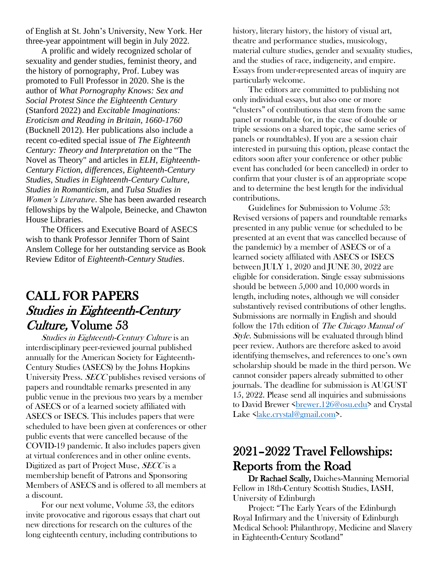of English at St. John's University, New York. Her three-year appointment will begin in July 2022.

A prolific and widely recognized scholar of sexuality and gender studies, feminist theory, and the history of pornography, Prof. Lubey was promoted to Full Professor in 2020. She is the author of *What Pornography Knows: Sex and Social Protest Since the Eighteenth Century*  (Stanford 2022) and *Excitable Imaginations: Eroticism and Reading in Britain, 1660-1760* (Bucknell 2012). Her publications also include a recent co-edited special issue of *The Eighteenth Century: Theory and Interpretation* on the "The Novel as Theory" and articles in *ELH*, *Eighteenth-Century Fiction*, *differences*, *Eighteenth-Century Studies*, *Studies in Eighteenth-Century Culture*, *Studies in Romanticism*, and *Tulsa Studies in Women's Literature*. She has been awarded research fellowships by the Walpole, Beinecke, and Chawton House Libraries.

The Officers and Executive Board of ASECS wish to thank Professor Jennifer Thorn of Saint Anslem College for her outstanding service as Book Review Editor of *Eighteenth-Century Studies*.

### CALL FOR PAPERS Studies in Eighteenth-Century Culture, Volume 53

Studies in Eighteenth-Century Culture is an interdisciplinary peer-reviewed journal published annually for the American Society for Eighteenth-Century Studies (ASECS) by the Johns Hopkins University Press. SECC publishes revised versions of papers and roundtable remarks presented in any public venue in the previous two years by a member of ASECS or of a learned society affiliated with ASECS or ISECS. This includes papers that were scheduled to have been given at conferences or other public events that were cancelled because of the COVID-19 pandemic. It also includes papers given at virtual conferences and in other online events. Digitized as part of Project Muse, SECC is a membership benefit of Patrons and Sponsoring Members of ASECS and is offered to all members at a discount.

For our next volume, Volume 53, the editors invite provocative and rigorous essays that chart out new directions for research on the cultures of the long eighteenth century, including contributions to

history, literary history, the history of visual art, theatre and performance studies, musicology, material culture studies, gender and sexuality studies, and the studies of race, indigeneity, and empire. Essays from under-represented areas of inquiry are particularly welcome.

The editors are committed to publishing not only individual essays, but also one or more "clusters" of contributions that stem from the same panel or roundtable (or, in the case of double or triple sessions on a shared topic, the same series of panels or roundtables). If you are a session chair interested in pursuing this option, please contact the editors soon after your conference or other public event has concluded (or been cancelled) in order to confirm that your cluster is of an appropriate scope and to determine the best length for the individual contributions.

Guidelines for Submission to Volume 53: Revised versions of papers and roundtable remarks presented in any public venue (or scheduled to be presented at an event that was cancelled because of the pandemic) by a member of ASECS or of a learned society affiliated with ASECS or ISECS between JULY 1, 2020 and JUNE 30, 2022 are eligible for consideration. Single essay submissions should be between 5,000 and 10,000 words in length, including notes, although we will consider substantively revised contributions of other lengths. Submissions are normally in English and should follow the 17th edition of *The Chicago Manual of* Style. Submissions will be evaluated through blind peer review. Authors are therefore asked to avoid identifying themselves, and references to one's own scholarship should be made in the third person. We cannot consider papers already submitted to other journals. The deadline for submission is AUGUST 15, 2022. Please send all inquiries and submissions to David Brewer <br/>brewer.126@osu.edu> and Crystal Lake [<lake.crystal@gmail.com>](mailto:lake.crystal@gmail.com).

### 2021–2022 Travel Fellowships: Reports from the Road

Dr Rachael Scally, Daiches-Manning Memorial Fellow in 18th-Century Scottish Studies, IASH, University of Edinburgh

Project: "The Early Years of the Edinburgh Royal Infirmary and the University of Edinburgh Medical School: Philanthropy, Medicine and Slavery in Eighteenth-Century Scotland"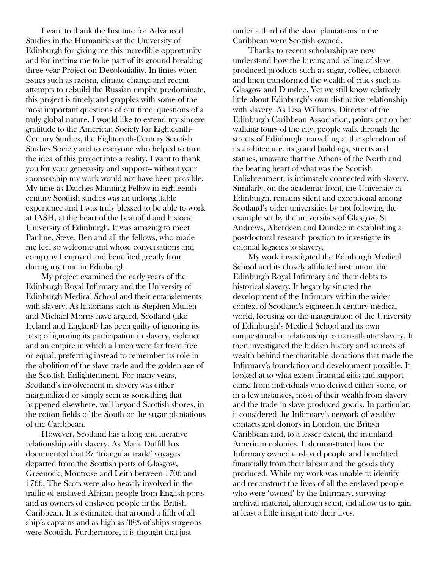I want to thank the Institute for Advanced Studies in the Humanities at the University of Edinburgh for giving me this incredible opportunity and for inviting me to be part of its ground-breaking three year Project on Decoloniality. In times when issues such as racism, climate change and recent attempts to rebuild the Russian empire predominate, this project is timely and grapples with some of the most important questions of our time, questions of a truly global nature. I would like to extend my sincere gratitude to the American Society for Eighteenth-Century Studies, the Eighteenth-Century Scottish Studies Society and to everyone who helped to turn the idea of this project into a reality. I want to thank you for your generosity and support-- without your sponsorship my work would not have been possible. My time as Daiches-Manning Fellow in eighteenthcentury Scottish studies was an unforgettable experience and I was truly blessed to be able to work at IASH, at the heart of the beautiful and historic University of Edinburgh. It was amazing to meet Pauline, Steve, Ben and all the fellows, who made me feel so welcome and whose conversations and company I enjoyed and benefited greatly from during my time in Edinburgh.

My project examined the early years of the Edinburgh Royal Infirmary and the University of Edinburgh Medical School and their entanglements with slavery. As historians such as Stephen Mullen and Michael Morris have argued, Scotland (like Ireland and England) has been guilty of ignoring its past; of ignoring its participation in slavery, violence and an empire in which all men were far from free or equal, preferring instead to remember its role in the abolition of the slave trade and the golden age of the Scottish Enlightenment. For many years, Scotland's involvement in slavery was either marginalized or simply seen as something that happened elsewhere, well beyond Scottish shores, in the cotton fields of the South or the sugar plantations of the Caribbean.

However, Scotland has a long and lucrative relationship with slavery. As Mark Duffill has documented that 27 'triangular trade' voyages departed from the Scottish ports of Glasgow, Greenock, Montrose and Leith between 1706 and 1766. The Scots were also heavily involved in the traffic of enslaved African people from English ports and as owners of enslaved people in the British Caribbean. It is estimated that around a fifth of all ship's captains and as high as 38% of ships surgeons were Scottish. Furthermore, it is thought that just

under a third of the slave plantations in the Caribbean were Scottish owned.

Thanks to recent scholarship we now understand how the buying and selling of slaveproduced products such as sugar, coffee, tobacco and linen transformed the wealth of cities such as Glasgow and Dundee. Yet we still know relatively little about Edinburgh's own distinctive relationship with slavery. As Lisa Williams, Director of the Edinburgh Caribbean Association, points out on her walking tours of the city, people walk through the streets of Edinburgh marvelling at the splendour of its architecture, its grand buildings, streets and statues, unaware that the Athens of the North and the beating heart of what was the Scottish Enlightenment, is intimately connected with slavery. Similarly, on the academic front, the University of Edinburgh, remains silent and exceptional among Scotland's older universities by not following the example set by the universities of Glasgow, St Andrews, Aberdeen and Dundee in establishing a postdoctoral research position to investigate its colonial legacies to slavery.

My work investigated the Edinburgh Medical School and its closely affiliated institution, the Edinburgh Royal Infirmary and their debts to historical slavery. It began by situated the development of the Infirmary within the wider context of Scotland's eighteenth-century medical world, focusing on the inauguration of the University of Edinburgh's Medical School and its own unquestionable relationship to transatlantic slavery. It then investigated the hidden history and sources of wealth behind the charitable donations that made the Infirmary's foundation and development possible. It looked at to what extent financial gifts and support came from individuals who derived either some, or in a few instances, most of their wealth from slavery and the trade in slave produced goods. In particular, it considered the Infirmary's network of wealthy contacts and donors in London, the British Caribbean and, to a lesser extent, the mainland American colonies. It demonstrated how the Infirmary owned enslaved people and benefitted financially from their labour and the goods they produced. While my work was unable to identify and reconstruct the lives of all the enslaved people who were 'owned' by the Infirmary, surviving archival material, although scant, did allow us to gain at least a little insight into their lives.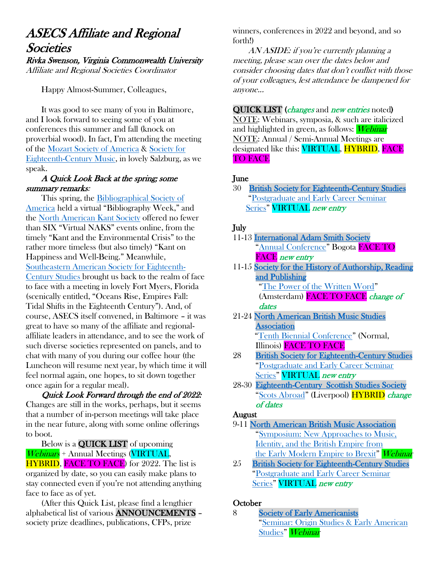## ASECS Affiliate and Regional **Societies**

Rivka Swenson, Virginia Commonwealth University Affiliate and Regional Societies Coordinator

Happy Almost-Summer, Colleagues,

It was good to see many of you in Baltimore, and I look forward to seeing some of you at conferences this summer and fall (knock on proverbial wood). In fact, I'm attending the meeting of the [Mozart Society of America](https://www.mozartsocietyofamerica.org/) & [Society for](https://www.secm.org/)  [Eighteenth-Century Music,](https://www.secm.org/) in lovely Salzburg, as we speak.

#### A Quick Look Back at the spring; some summary remarks:

This spring, the [Bibliographical Society of](https://bibsocamer.org/)  [America](https://bibsocamer.org/) held a virtual "Bibliography Week," and the [North American Kant So](http://www.northamericankantsociety.org/)ciety offered no fewer than SIX "Virtual NAKS" events online, from the timely "Kant and the Environmental Crisis" to the rather more timeless (but also timely) "Kant on Happiness and Well-Being." Meanwhile, [Southeastern American Society for Eighteenth-](http://www.seasecs.org/)[Century St](http://www.seasecs.org/)udies brought us back to the realm of face to face with a meeting in lovely Fort Myers, Florida (scenically entitled, "Oceans Rise, Empires Fall: Tidal Shifts in the Eighteenth Century"). And, of course, ASECS itself convened, in Baltimore – it was great to have so many of the affiliate and regionalaffiliate leaders in attendance, and to see the work of such diverse societies represented on panels, and to chat with many of you during our coffee hour (the Luncheon will resume next year, by which time it will feel normal again, one hopes, to sit down together once again for a regular meal).

Quick Look Forward through the end of 2022: Changes are still in the works, perhaps, but it seems that a number of in-person meetings will take place in the near future, along with some online offerings to boot.

Below is a QUICK LIST of upcoming Webinars + Annual Meetings (VIRTUAL, **HYBRID, FACE TO FACE**) for 2022. The list is organized by date, so you can easily make plans to stay connected even if you're not attending anything face to face as of yet.

(After this Quick List, please find a lengthier alphabetical list of various ANNOUNCEMENTS – society prize deadlines, publications, CFPs, prize

winners, conferences in 2022 and beyond, and so forth!)

AN ASIDE: if you're currently planning a meeting, please scan over the dates below and consider choosing dates that don't conflict with those of your colleagues, lest attendance be dampened for anyone...

QUICK LIST (*changes* and *new entries* noted) NOTE: Webinars, symposia, & such are italicized and highlighted in green, as follows: Webinar NOTE: Annual / Semi-Annual Meetings are designated like this: **VIRTUAL, HYBRID, FACE** TO FACE

#### June

30 [British Society for Eighteenth-Century Studies](https://www.bsecs.org.uk/)  "[Postgraduate and Early Career Seminar](https://www.bsecs.org.uk/conferences/postgraduate-early-career-conference/)  [Series](https://www.bsecs.org.uk/conferences/postgraduate-early-career-conference/)" **VIRTUAL** new entry

#### July

| 11-13 International Adam Smith Society |  |  |  |  |  |  |  |  |
|----------------------------------------|--|--|--|--|--|--|--|--|
| "Annual Conference" Bogota FACE TO     |  |  |  |  |  |  |  |  |
| <b>FACE</b> new entry                  |  |  |  |  |  |  |  |  |
|                                        |  |  |  |  |  |  |  |  |

- 11-15 [Society for the History of Authorship, Reading](http://www.sharpweb.org/main/)  [and Publishing](http://www.sharpweb.org/main/) "[The Power of the Written Word](https://sharp2022.nl/sharp-2020-postponed/)" (Amsterdam) FACE TO FACE change of dates
- 21-24 [North American British Music Studies](https://nabmsa.org/)  [Association](https://nabmsa.org/) "[Tenth Biennial Conference](https://nabmsa.org/)" (Normal, Illinois) FACE TO FACE
- 28 [British Society for Eighteenth-Century Studies](https://www.bsecs.org.uk/)  "[Postgraduate and Early Career Seminar](https://www.bsecs.org.uk/conferences/postgraduate-early-career-conference/)  [Series](https://www.bsecs.org.uk/conferences/postgraduate-early-career-conference/)" **VIRTUAL** new entry
- 28-30 [Eighteenth-Century Scottish Studies Society](https://www.ecsss.org/) "[Scots Abroad](https://www.liverpool.ac.uk/eighteenth-century-worlds/events/scots-abroad/)" (Liverpool) **HYBRID** change of dates

#### August

- 9-11 [North American British Music Association](http://www.nabmsa.org/)  "[Symposium: New Approaches to Music,](https://nabmsa.org/events/)  [Identity, and the British Empire from](https://nabmsa.org/events/)  [the Early Modern Empire to Brexit](https://nabmsa.org/events/)" Webinar
- 25 [British Society for Eighteenth-Century Studies](https://www.bsecs.org.uk/)  "[Postgraduate and Early Career Seminar](https://www.bsecs.org.uk/conferences/postgraduate-early-career-conference/)  [Series](https://www.bsecs.org.uk/conferences/postgraduate-early-career-conference/)" **VIRTUAL** new entry

#### **October**

8 [Society of Early Americanists](https://www.societyofearlyamericanists.org/)  "[Seminar: Origin Studies & Early American](https://www.societyofearlyamericanists.org/conferences/upcoming/)  [Studies](https://www.societyofearlyamericanists.org/conferences/upcoming/)" Webinar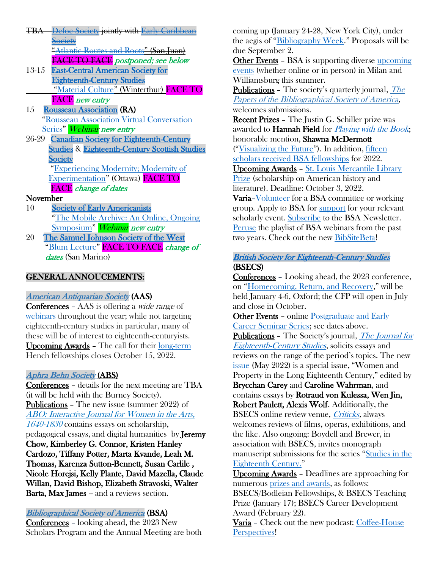- TBA [Defoe Society](http://www.defoesociety.org/) jointly with [Early Caribbean](http://www.earlycaribbeansociety.com/)  **[Society](http://www.earlycaribbeansociety.com/)**  "[Atlantic Routes and Roots](https://www.defoesociety.org/conference/)" (San Juan) FACE TO FACE postponed; see below
- 13-15 [East-Central American Society for](http://www.ec-asecs.org/)  [Eighteenth-Century Studies](http://www.ec-asecs.org/) "[Material Culture](http://www.ec-asecs.org/2021-conference.html)" (Winterthur) FACE TO FACE new entry
- 15 [Rousseau Association](http://www.rousseauassociation.org/) (RA) "[Rousseau Association Virtual Conversation](http://www.rousseauassociation.org/)  [Series](http://www.rousseauassociation.org/)" *Webinar new entry*
- 26-29 [Canadian Society for Eighteenth-Century](http://www.csecs.ca/)  [Studies](http://www.csecs.ca/) & [Eighteenth-Century Scottish Studies](http://www.ecsss.org/)  **Society** "[Experiencing Modernity; Modernity of](https://arts.uottawa.ca/en/CSECS2022-CFP)

[Experimentation](https://arts.uottawa.ca/en/CSECS2022-CFP)" (Ottawa) FACE TO FACE change of dates

#### November

- 10 [Society of Early Americanists](https://www.societyofearlyamericanists.org/) "[The Mobile Archive: An Online, Ongoing](https://www.societyofearlyamericanists.org/conferences/upcoming/)  [Symposium](https://www.societyofearlyamericanists.org/conferences/upcoming/)" Webinar new entry
- 20 [The Samuel Johnson Society of the West](https://www.johnsonsocietyofthewest.org/)  "[Blum Lecture](https://www.johnsonsocietyofthewest.org/annual-dinner.html)" **FACE TO FACE** change of dates (San Marino)

#### GENERAL ANNOUCEMENTS:

#### American Antiquarian Society (AAS)

Conferences – AAS is offering a wide range of [webinars](https://www.americanantiquarian.org/programs-events) throughout the year; while not targeting eighteenth-century studies in particular, many of these will be of interest to eighteenth-centuryists. Upcoming Awards – The call for their [long-term](https://www.americanantiquarian.org/long-term-fellowships) Hench fellowships closes October 15, 2022.

#### [Aphra Behn Society](http://www.aphrabehn.org/) (ABS)

Conferences – details for the next meeting are TBA (it will be held with the Burney Society). Publications – The new issue (summer 2022) of [ABO: Interactive Journal for Women in the Arts,](https://scholarcommons.usf.edu/abo/)  [1640-1830](https://scholarcommons.usf.edu/abo/) contains essays on scholarship, pedagogical essays, and digital humanities by Jeremy Chow, Kimberley G. Connor, Kristen Hanley Cardozo, Tiffany Potter, Marta Kvande, Leah M. Thomas, Karenza Sutton-Bennett, Susan Carlile , Nicole Horejsi, Kelly Plante, David Mazella, Claude Willan, David Bishop, Elizabeth Stravoski, Walter Barta, Max James -- and a reviews section.

#### [Bibliographical Society of America](https://bibsocamer.org/awards/st-louis-mercantile-library-prize/) (BSA)

Conferences – looking ahead, the 2023 New Scholars Program and the Annual Meeting are both coming up (January 24-28, New York City), under the aegis of "[Bibliography Week](https://bibsocamer.org/programs/annual-meetings/)." Proposals will be due September 2.

Other Events – BSA is supporting diverse [upcoming](https://bibsocamer.org/programs/upcoming-events/)  [events](https://bibsocamer.org/programs/upcoming-events/) (whether online or in person) in Milan and Williamsburg this summer.

**Publications -** [The](https://bibsocamer.org/publications/papers/) society's quarterly journal, *The* [Papers of the Bibliographical Society of America](https://bibsocamer.org/publications/papers/), welcomes submissions.

Recent Prizes – The Justin G. Schiller prize was awarded to **Hannah Field** for *[Playing with the Book](https://www.upress.umn.edu/book-division/books/playing-with-the-book)*; honorable mention, Shawna McDermott ("[Visualizing the Future](file:///C:/Users/rswenson/AppData/Roaming/Microsoft/Word/Visualizing%20the%20Future:%20Childhood,%20Race,%20and%20Imperialism%20in%20Children’s%20Magazines,%201873-1939)"). In addition, [fifteen](https://bibsocamer.org/news/2022-awards/)  [scholars received BSA fellowships](https://bibsocamer.org/news/2022-awards/) for 2022.

Upcoming Awards – [St. Louis Mercantile Library](https://bibsocamer.org/awards/st-louis-mercantile-library-prize/)  [Prize](https://bibsocamer.org/awards/st-louis-mercantile-library-prize/) (scholarship on American history and literature). Deadline: October 3, 2022.

Varia–[Volunteer](https://bibsocamer.org/news/call-for-volunteers-22/) for a BSA committee or working group. Apply to BSA for [support](https://bibsocamer.org/programs/calls-for-proposals/) for your relevant scholarly event. [Subscribe](https://bibsocamer.org/about-us/subscribe-to-our-newsletter/) to the BSA Newsletter. [Peruse](https://bibsocamer.org/programs/past-events/) the playlist of BSA webinars from the past two years. Check out the new [BibSiteBeta!](https://bibsocamer.org/news/bibsite-beta/)

#### [British Society for Eighteenth-Century Studies](https://www.bsecs.org.uk/)  (BSECS)

Conferences – Looking ahead, the 2023 conference, on "[Homecoming, Return, and Recovery](https://www.bsecs.org.uk/conferences/annual-conference/)," will be held January 4-6, Oxford; the CFP will open in July and close in October.

Other Events – online [Postgraduate and Early](https://www.bsecs.org.uk/conferences/postgraduate-early-career-conference/)  [Career Seminar Series;](https://www.bsecs.org.uk/conferences/postgraduate-early-career-conference/) see dates above.

Publications - The Society's journal, *The Journal for* [Eighteenth-Century Studies](https://www.bsecs.org.uk/journal/), solicits essays and reviews on the range of the period's topics. The new [issue](https://onlinelibrary.wiley.com/journal/17540208) (May 2022) is a special issue, "Women and Property in the Long Eighteenth Century," edited by Brycchan Carey and Caroline Wahrman, and contains essays by Rotraud von Kulessa, Wen Jin, Robert Paulett, Alexis Wolf. Additionally, the BSECS online review venue, *Criticks*, always welcomes reviews of films, operas, exhibitions, and the like. Also ongoing: Boydell and Brewer, in association with BSECS, invites monograph manuscript submissions for the series "[Studies in the](https://www.bsecs.org.uk/the-society/studies-in-the-eighteenth-century-book-series/) 

[Eighteenth Century.](https://www.bsecs.org.uk/the-society/studies-in-the-eighteenth-century-book-series/)"

Upcoming Awards – Deadlines are approaching for numerous [prizes and awards,](https://www.bsecs.org.uk/prizes-and-awards/) as follows: BSECS/Bodleian Fellowships, & BSECS Teaching

Prize (January 17); BSECS Career Development Award (February 22).

Varia – Check out the new podcast: [Coffee-House](https://www.bsecs.org.uk/news-and-events/new-release-bsecs-podcast-coffee-house-perspectives/)  [Perspectives!](https://www.bsecs.org.uk/news-and-events/new-release-bsecs-podcast-coffee-house-perspectives/)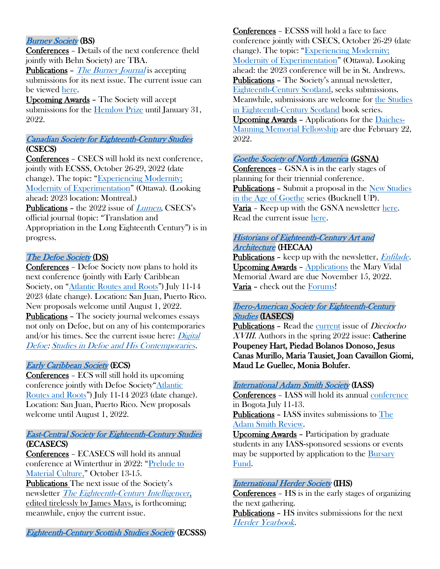#### [Burney Society](https://www.mcgill.ca/burneycentre/burney-society) (BS)

Conferences – Details of the next conference (held jointly with Behn Society) are TBA.

Publications – [The Burney Journal](https://www.mcgill.ca/burneycentre/burney-society/burney-journal) is accepting submissions for its next issue. The current issue can be viewed [here.](https://www.mcgill.ca/burneycentre/burney-society/burney-journal/current-issue)

Upcoming Awards – The Society will accept submissions for the [Hemlow Prize](file:///C:/Users/rswenson/AppData/Roaming/Microsoft/Word/mcgill.ca/burneycentre/burney-society/hemlow-prize-burney-studies) until January 31, 2022.

#### [Canadian Society for Eighteenth-Century Studies](http://www.csecs.ca/)  (CSECS)

Conferences – CSECS will hold its next conference, jointly with ECSSS, October 26-29, 2022 (date change). The topic: "Experiencing Modernity; [Modernity of Experimentation](https://arts.uottawa.ca/en/CSECS2022-CFP)" (Ottawa). (Looking ahead: 2023 location: Montreal.) Publications – the 2022 issue of *[Lumen](https://www.erudit.org/en/journals/lumen/2020-v39-lumen05289/)*, CSECS's official journal (topic: "Translation and

Appropriation in the Long Eighteenth Century") is in progress.

#### [The Defoe Society](http://www.defoesociety.org/) (DS)

Conferences – Defoe Society now plans to hold its next conference (jointly with Early Caribbean Society, on "[Atlantic Routes and Roots](https://www.defoesociety.org/conference/)") July 11-14 2023 (date change). Location: San Juan, Puerto Rico. New proposals welcome until August 1, 2022. Publications – The society journal welcomes essays not only on Defoe, but on any of his contemporaries and/or his times. See the current issue here:  $\frac{Digital}{}$ [Defoe: Studies in Defoe and His Contemporaries.](http://digitaldefoe.org/category/issues/issue-12-1-fall-2020/)

#### [Early Caribbean Society](http://www.earlycaribbeansociety.com/) (ECS)

Conferences – ECS will still hold its upcoming conference jointly with Defoe Society"[Atlantic](https://www.defoesociety.org/conference/)  [Routes and Roots](https://www.defoesociety.org/conference/)") July 11-14 2023 (date change). Location: San Juan, Puerto Rico. New proposals welcome until August 1, 2022.

#### [East-Central Society for Eighteenth-Century Studies](http://www.ec-asecs.org/) (ECASECS)

Conferences – ECASECS will hold its annual conference at Winterthur in 2022: "[Prelude to](http://www.ec-asecs.org/2021-conference.html)  [Material Culture,](http://www.ec-asecs.org/2021-conference.html)" October 13-15. Publications The next issue of the Society's newsletter [The Eighteenth-Century Intelligencer](http://nebula.wsimg.com/a6896d4b1f446a111f06610ef6489b34?AccessKeyId=11A807F08DAC7854344C&disposition=0&alloworigin=1), edited tirelessly by James Mays, is forthcoming; meanwhile, enjoy the current issue.

[Eighteenth-Century Scottish Studies Society](http://www.ecsss.org/) (ECSSS)

Conferences – ECSSS will hold a face to face conference jointly with CSECS, October 26-29 (date change). The topic: "[Experiencing Modernity;](https://arts.uottawa.ca/en/CSECS2022-CFP)  [Modernity of Experimentation](https://arts.uottawa.ca/en/CSECS2022-CFP)" (Ottawa). Looking ahead: the 2023 conference will be in St. Andrews. Publications – The Society's annual newsletter, [Eighteenth-Century Scotland,](https://www.ecsss.org/wp-content/uploads/2022/01/No.-35-SPRING-2021-18th-Century-Studies.pdf) seeks submissions. Meanwhile, submissions are welcome for [the Studies](https://ecsss.org/studies-in-eighteenth-century-scotland/)  [in Eighteenth-Century Scotland](https://ecsss.org/studies-in-eighteenth-century-scotland/) book series. Upcoming Awards – Applications for the [Daiches-](https://www.iash.ed.ac.uk/daiches-manning-memorial-fellowship-18th-century-scottish-studies)[Manning Memorial Fellowship](https://www.iash.ed.ac.uk/daiches-manning-memorial-fellowship-18th-century-scottish-studies) are due February 22, 2022.

#### [Goethe Society of North America](http://goethesociety.org/) (GSNA)

Conferences – GSNA is in the early stages of planning for their triennial conference. Publications - Submit a proposal in the New Studies [in the Age of Goethe](https://www.goethesociety.org/book-series) series (Bucknell UP). Varia – Keep up with the GSNA newsletter [here.](https://www.goethesociety.org/newsletter) Read the current issue [here.](https://static1.squarespace.com/static/5ddbc3430b17da177ec3a35d/t/6239f39e5292ee5f5d8c6d4a/1647965088208/gnnspring22.pdf)

#### [Historians of Eighteenth-Century Art and](https://hecaa18.org/)  [Architecture](https://hecaa18.org/) (HECAA)

Publications - keep up with the newsletter, *Enfilade*. Upcoming Awards – [Applications](https://hecaa18.org/awards/) the Mary Vidal Memorial Award are due November 15, 2022. Varia – check out the [Forums!](https://hecaa18.org/forums/)

#### [Ibero-American Society for Eighteenth-Century](https://iasecs.org/iasecs-prizes-and-grants/)  [Studies](https://iasecs.org/iasecs-prizes-and-grants/) (IASECS)

Publications - Read the [current](https://dieciocho.uvacreate.virginia.edu/45.1/) issue of *Dieciocho* XVIII. Authors in the spring 2022 issue: Catherine Poupeney Hart, Piedad Bolanos Donoso, Jesus Canas Murillo, Maria Tausiet, Joan Cavaillon Giomi, Maud Le Guellec, Monia Bolufer.

#### [International Adam Smith Society](https://smithsociety.org/) (IASS)

Conferences – IASS will hold its annual [conference](https://smithsociety.org/conferences/) in Bogota July 11-13. Publications – IASS invites submissions to [The](https://smithsociety.org/adam-smith-review/) 

[Adam Smith Review.](https://smithsociety.org/adam-smith-review/)

Upcoming Awards – Participation by graduate students in any IASS-sponsored sessions or events may be supported by application to the Bursary [Fund.](https://smithsociety.org/home/bursary-fund/)

#### [International Herder Society](http://www.johann-gottfried-herder.net/english/ihs_society.htm) (IHS)

Conferences – HS is in the early stages of organizing the next gathering.

Publications – HS invites submissions for the next [Herder Yearbook](http://www.johann-gottfried-herder.net/english/ihs_yearbook.htm).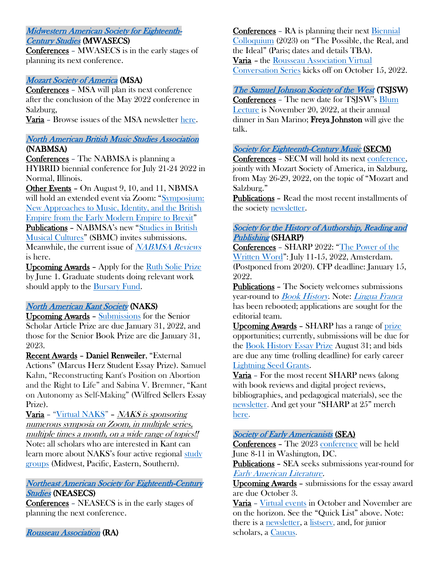#### [Midwestern American Society for Eighteenth-](http://mwasecs.net/)

#### [Century Studies](http://mwasecs.net/) (MWASECS)

Conferences – MWASECS is in the early stages of planning its next conference.

#### [Mozart Society of America](http://mozartsocietyofamerica.org/) (MSA)

Conferences – MSA will plan its next conference after the conclusion of the May 2022 conference in Salzburg,

Varia – Browse issues of the MSA newsletter [here.](https://www.mozartsocietyofamerica.org/newsletter-of-the-mozart-society-of-america/)

#### [North American British Music Studies Association](https://nabmsa.org/members/ruth-solie-prize/)  (NABMSA)

Conferences – The NABMSA is planning a HYBRID biennial conference for July 21-24 2022 in Normal, Illinois.

Other Events – On August 9, 10, and 11, NBMSA will hold an extended event via Zoom: "Symposium: [New Approaches to Music, Identity, and the British](https://nabmsa.org/events/)  [Empire from the Early Modern Empire to Brexit](https://nabmsa.org/events/)" Publications – NABMSA's new "[Studies in British](https://nabmsa.org/studies-in-british-musical-cultures/)  [Musical Cultures](https://nabmsa.org/studies-in-british-musical-cultures/)" (SBMC) invites submissions. Meanwhile, the current issue of [NABMSA Reviews](https://nabmsa.org/pdfs/nabmsa-reviews/NABMSAReviews8.2.pdf) is here.

Upcoming Awards – Apply for the [Ruth Solie Prize](https://nabmsa.org/members/ruth-solie-prize/) by June 1. Graduate students doing relevant work should apply to the **Bursary Fund.** 

#### [North American Kant Society](http://northamericankantsociety.onefireplace.org/) (NAKS)

Upcoming Awards – [Submissions](https://www.northamericankantsociety.com/page-971081) for the Senior Scholar Article Prize are due January 31, 2022, and those for the Senior Book Prize are die January 31, 2023.

Recent Awards – Daniel Renweiler, "External Actions" (Marcus Herz Student Essay Prize). Samuel Kahn, "Reconstructing Kant's Position on Abortion and the Right to Life" and Sabina V. Bremner, "Kant on Autonomy as Self-Making" (Wilfred Sellers Essay Prize).

Varia – "[Virtual NAKS](https://www.northamericankantsociety.com/VNAKS)" – NAKS is sponsoring numerous symposia on Zoom, in multiple series, multiple times a month, on a wide range of topics!! Note: all scholars who are interested in Kant can learn more about NAKS's four active regional [study](http://northamericankantsociety.onefireplace.org/studygroups)  [groups](http://northamericankantsociety.onefireplace.org/studygroups) (Midwest, Pacific, Eastern, Southern).

#### [Northeast American Society for Eighteenth-Century](http://www.neasecs.org/)  [Studies](http://www.neasecs.org/) (NEASECS)

Conferences – NEASECS is in the early stages of planning the next conference.

[Rousseau Association](http://www.rousseauassociation.org/) (RA)

Conferences – RA is planning their next [Biennial](http://rousseauassociation.com/upcoming-ra-colloquium/?_ga=2.236260225.1800636742.1632951103-1185949048.1632951103)  [Colloquium](http://rousseauassociation.com/upcoming-ra-colloquium/?_ga=2.236260225.1800636742.1632951103-1185949048.1632951103) (2023) on "The Possible, the Real, and the Ideal" (Paris; dates and details TBA). Varia – the [Rousseau Association Virtual](http://www.rousseauassociation.org/)  [Conversation Series](http://www.rousseauassociation.org/) kicks off on October 15, 2022.

#### [The Samuel Johnson Society of the West](http://www.johnsonsocietyofthewest.org/) (TSJSW)

Conferences – The new date for TSJSW's [Blum](https://www.johnsonsocietyofthewest.org/annual-dinner.html)  [Lecture](https://www.johnsonsocietyofthewest.org/annual-dinner.html) is November 20, 2022, at their annual dinner in San Marino; Freya Johnston will give the talk.

#### [Society for Eighteenth-Century Music](https://www.secm.org/) (SECM)

Conferences – SECM will hold its next [conference,](https://www.mozartsocietyofamerica.org/meeting/mozart-society-of-america-and-society-for-eighteenth-century-music-joint-conference-in-salzburg-may-26-30-2021/) jointly with Mozart Society of America, in Salzburg, from May 26-29, 2022, on the topic of "Mozart and Salzburg."

Publications – Read the most recent installments of the society [newsletter.](https://www.secm.org/news.html)

#### [Society for the History of Authorship, Reading and](http://www.sharpweb.org/main/)  [Publishing](http://www.sharpweb.org/main/) (SHARP)

Conferences – SHARP 2022: "[The Power of the](https://sharp2020.nl/)  [Written Word](https://sharp2020.nl/)": July 11-15, 2022, Amsterdam. (Postponed from 2020). CFP deadline: January 15, 2022.

Publications – The Society welcomes submissions year-round to **[Book History](https://www.sharpweb.org/main/book-history/)**. Note: *[Lingua Franca](https://www.sharpweb.org/linguafranca/)* has been rebooted; applications are sought for the editorial team.

Upcoming Awards – SHARP has a range of [prize](https://www.sharpweb.org/main/prizes-awards/) opportunities; currently, submissions will be due for the [Book History Essay Prize](https://www.sharpweb.org/main/book-history-essay-prize/) August 31; and bids are due any time (rolling deadline) for early career [Lightning Seed Grants.](https://www.sharpweb.org/main/lightning-seed-grants/)

Varia – For the most recent SHARP news (along with book reviews and digital project reviews, bibliographies, and pedagogical materials), see the [newsletter.](https://www.sharpweb.org/sharpnews/) And get your "SHARP at 25" merch [here.](https://www.zazzle.co.uk/store/sharp_at_25)

#### [Society of Early Americanists](https://www.societyofearlyamericanists.org/) (SEA)

Conferences – The 2023 [conference](https://www.societyofearlyamericanists.org/conferences/sea-2023-biennial) will be held June 8-11 in Washington, DC.

Publications – SEA seeks submissions year-round for [Early American Literature.](https://eal.uky.edu/)

Upcoming Awards – submissions for the essay award are due October 3.

Varia – [Virtual events](https://www.societyofearlyamericanists.org/conferences/upcoming) in October and November are on the horizon. See the "Quick List" above. Note: there is a [newsletter,](https://www.societyofearlyamericanists.org/membership/newsletter) a [listserv,](https://www.societyofearlyamericanists.org/membership/listserv) and, for junior scholars, a [Caucus.](https://www.societyofearlyamericanists.org/membership/sea-junior-scholars-caucus)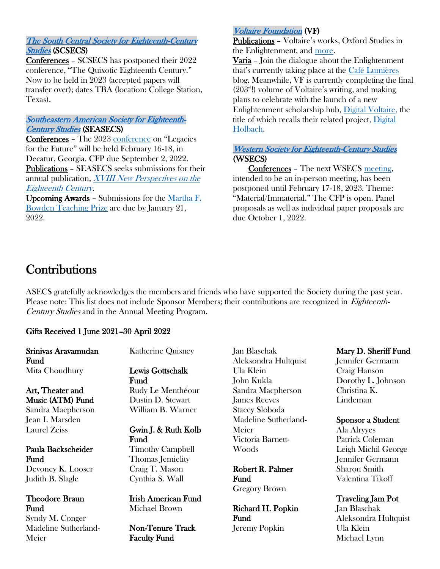#### [The South Central Society for Eighteenth-Century](http://www.scsecs.net/)  [Studies](http://www.scsecs.net/) (SCSECS)

Conferences – SCSECS has postponed their 2022 conference, "The Quixotic Eighteenth Century." Now to be held in 2023 (accepted papers will transfer over); dates TBA (location: College Station, Texas).

#### [Southeastern American Society for Eighteenth-](http://www.seasecs.org/)**Century Studies** (SEASECS)

Conferences – The 2023 [conference](http://www.seasecs.org/2023-conference) on "Legacies for the Future" will be held February 16-18, in Decatur, Georgia. CFP due September 2, 2022. Publications – SEASECS seeks submissions for their annual publication, [XVIII New Perspectives on the](http://www.seasecs.org/npec)  [Eighteenth Century](http://www.seasecs.org/npec).

Upcoming Awards – Submissions for the [Martha F.](http://www.seasecs.org/marthfbowden-teaching-prize)  [Bowden Teaching Prize](http://www.seasecs.org/marthfbowden-teaching-prize) are due by January 21, 2022.

#### [Voltaire Foundation](https://www.voltaire.ox.ac.uk/) (VF)

Publications - Voltaire's works, Oxford Studies in the Enlightenment, and [more.](https://www.voltaire.ox.ac.uk/our-publications/)

Varia – Join the dialogue about the Enlightenment that's currently taking place at the [Café Lumières](https://www.voltaire.ox.ac.uk/home/research-community/cafe-lumieres/) blog. Meanwhile, VF is currently completing the final  $(203<sup>nd</sup>)$  volume of Voltaire's writing, and making plans to celebrate with the launch of a new Enlightenment scholarship hub, [Digital Voltaire,](https://www.voltaire.ox.ac.uk/digital-enlightenment/digital-voltaire/) the title of which recalls their related project, [Digital](https://www.voltaire.ox.ac.uk/digital-enlightenment/digital-dholbach/)  [Holbach.](https://www.voltaire.ox.ac.uk/digital-enlightenment/digital-dholbach/)

#### [Western Society for Eighteenth-Century Studies](http://www.wsecs.org/)  (WSECS)

Conferences – The next WSECS [meeting,](http://www.wsecs.org/upcoming-events.html) intended to be an in-person meeting, has been postponed until February 17-18, 2023. Theme: "Material/Immaterial." The CFP is open. Panel proposals as well as individual paper proposals are due October 1, 2022.

### **Contributions**

ASECS gratefully acknowledges the members and friends who have supported the Society during the past year. Please note: This list does not include Sponsor Members; their contributions are recognized in *Eighteenth-*Century Studies and in the Annual Meeting Program.

#### Gifts Received 1 June 2021–30 April 2022

Srinivas Aravamudan Fund Mita Choudhury

Art, Theater and Music (ATM) Fund Sandra Macpherson Jean I. Marsden Laurel Zeiss

#### Paula Backscheider Fund

Devoney K. Looser Judith B. Slagle

#### Theodore Braun Fund

Syndy M. Conger Madeline Sutherland-Meier

Katherine Quisney

Lewis Gottschalk Fund Rudy Le Menthéour Dustin D. Stewart William B. Warner

#### Gwin J. & Ruth Kolb Fund Timothy Campbell Thomas Jemielity Craig T. Mason

Cynthia S. Wall

Irish American Fund Michael Brown

Non-Tenure Track Faculty Fund

Jan Blaschak Aleksondra Hultquist Ula Klein John Kukla Sandra Macpherson James Reeves Stacey Sloboda Madeline Sutherland-Meier Victoria Barnett-Woods

Robert R. Palmer Fund Gregory Brown

Richard H. Popkin Fund Jeremy Popkin

#### Mary D. Sheriff Fund

Jennifer Germann Craig Hanson Dorothy L. Johnson Christina K. Lindeman

#### Sponsor a Student

Ala Alryyes Patrick Coleman Leigh Michil George Jennifer Germann Sharon Smith Valentina Tikoff

#### Traveling Jam Pot

Jan Blaschak Aleksondra Hultquist Ula Klein Michael Lynn